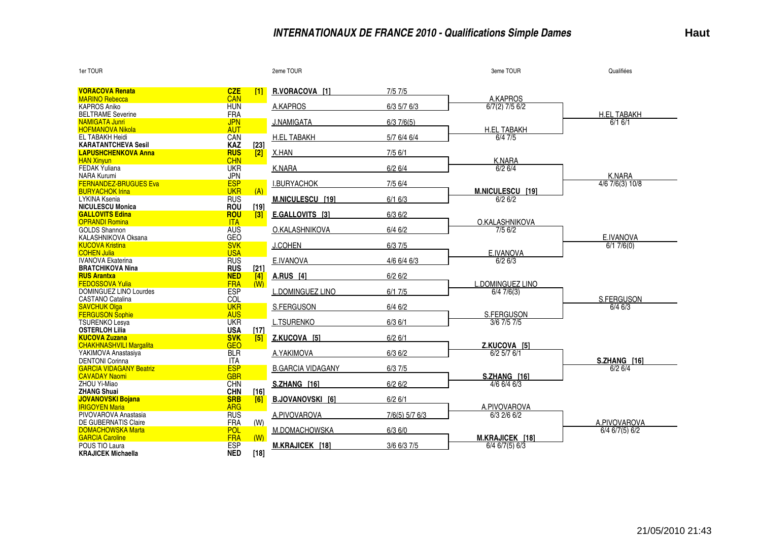## **INTERNATIONAUX DE FRANCE 2010 - Qualifications Simple Dames**

| 1er TOUR                                                 |                          |            | 2eme TOUR                |                | 3eme TOUR                           | Qualifiées         |
|----------------------------------------------------------|--------------------------|------------|--------------------------|----------------|-------------------------------------|--------------------|
| <b>VORACOVA Renata</b>                                   | <b>CZE</b>               | -11        | R.VORACOVA [1]           | 7/57/5         |                                     |                    |
| <b>MARINO Rebecca</b>                                    | CAN                      |            |                          |                | A.KAPROS                            |                    |
| <b>KAPROS Aniko</b>                                      | <b>HUN</b>               |            | A.KAPROS                 | 6/3 5/7 6/3    | $6/7(2)$ 7/5 $6/2$                  |                    |
| <b>BELTRAME Severine</b>                                 | <b>FRA</b>               |            |                          |                |                                     | <b>H.EL TABAKH</b> |
| <b>NAMIGATA Junri</b>                                    | <b>JPN</b>               |            | <b>J.NAMIGATA</b>        | 6/37/6(5)      |                                     | 6/16/1             |
| <b>HOFMANOVA Nikola</b>                                  | <b>AUT</b>               |            |                          |                | <b>H.EL TABAKH</b>                  |                    |
| <b>EL TABAKH Heidi</b>                                   | CAN                      |            | <b>H.EL TABAKH</b>       | 5/7 6/4 6/4    | 6/4 7/5                             |                    |
| <b>KARATANTCHEVA Sesil</b><br><b>LAPUSHCHENKOVA Anna</b> | <b>KAZ</b>               | $[23]$     |                          |                |                                     |                    |
| <b>HAN Xinyun</b>                                        | <b>RUS</b><br><b>CHN</b> | $\sqrt{2}$ | X.HAN                    | $7/5$ 6/1      | <b>K.NARA</b>                       |                    |
| <b>FEDAK Yuliana</b>                                     | <b>UKR</b>               |            | K.NARA                   | 6/26/4         | 6/26/4                              |                    |
| <b>NARA Kurumi</b>                                       | <b>JPN</b>               |            |                          |                |                                     | K.NARA             |
| <b>FERNANDEZ-BRUGUES Eva</b>                             | <b>ESP</b>               |            | <b>I.BURYACHOK</b>       | 7/5 6/4        |                                     | 4/6 7/6(3) 10/8    |
| <b>BURYACHOK Irina</b>                                   | <b>UKR</b>               | (A)        |                          |                | M.NICULESCU [19]                    |                    |
| <b>LYKINA Ksenia</b>                                     | <b>RUS</b>               |            | M.NICULESCU [19]         | 6/16/3         | 6/26/2                              |                    |
| <b>NICULESCU Monica</b>                                  | <b>ROU</b>               | [19]       |                          |                |                                     |                    |
| <b>GALLOVITS Edina</b>                                   | <b>ROU</b>               | 3          | E.GALLOVITS [3]          | 6/36/2         |                                     |                    |
| <b>OPRANDI Romina</b>                                    | <b>ITA</b>               |            |                          |                | O.KALASHNIKOVA                      |                    |
| <b>GOLDS Shannon</b>                                     | <b>AUS</b>               |            | O.KALASHNIKOVA           | $6/4$ 6/2      | 7/5 6/2                             |                    |
| KALASHNIKOVA Oksana                                      | GEO                      |            |                          |                |                                     | E.IVANOVA          |
| <b>KUCOVA Kristina</b><br><b>COHEN Julia</b>             | <b>SVK</b>               |            | <b>J.COHEN</b>           | 6/37/5         |                                     | 6/17/6(0)          |
| <b>IVANOVA Ekaterina</b>                                 | <b>USA</b><br><b>RUS</b> |            | E.IVANOVA                | $4/6$ 6/4 6/3  | E.IVANOVA<br>6/26/3                 |                    |
| <b>BRATCHIKOVA Nina</b>                                  | <b>RUS</b>               | $[21]$     |                          |                |                                     |                    |
| <b>RUS Arantxa</b>                                       | <b>NED</b>               | 4          | <b>A.RUS</b> [4]         | 6/26/2         |                                     |                    |
| <b>FEDOSSOVA Yulia</b>                                   | <b>FRA</b>               | (W)        |                          |                | L.DOMINGUEZ LINO                    |                    |
| DOMINGUEZ LINO Lourdes                                   | <b>ESP</b>               |            | <b>L.DOMINGUEZ LINO</b>  | 6/17/5         | $\sqrt{6/47/6}$ (3)                 |                    |
| <b>CASTANO Catalina</b>                                  | <b>COL</b>               |            |                          |                |                                     | S.FERGUSON         |
| <b>SAVCHUK Olga</b>                                      | <b>UKR</b>               |            | S.FERGUSON               | $6/4$ 6/2      |                                     | $6/4$ 6/3          |
| <b>FERGUSON Sophie</b>                                   | <b>AUS</b>               |            |                          |                | S.FERGUSON                          |                    |
| <b>TSURENKO Lesva</b>                                    | <b>UKR</b>               |            | <b>L.TSURENKO</b>        | 6/36/1         | 3/6 7/5 7/5                         |                    |
| <b>OSTERLOH Lilia</b>                                    | <b>USA</b>               | $[17]$     |                          |                |                                     |                    |
| <b>KUCOVA Zuzana</b>                                     | <b>SVK</b>               | <b>T51</b> | Z.KUCOVA [5]             | 6/26/1         |                                     |                    |
| <b>CHAKHNASHVILI Margalita</b><br>YAKIMOVA Anastasiya    | <b>GEO</b><br><b>BLR</b> |            | A.YAKIMOVA               | 6/36/2         | Z.KUCOVA [51<br>$6/2$ 5/7 $6/1$     |                    |
| <b>DENTONI Corinna</b>                                   | <b>ITA</b>               |            |                          |                |                                     | S.ZHANG [16]       |
| <b>GARCIA VIDAGANY Beatriz</b>                           | <b>ESP</b>               |            | <b>B.GARCIA VIDAGANY</b> | 6/37/5         |                                     | 6/26/4             |
| <b>CAVADAY Naomi</b>                                     | <b>GBR</b>               |            |                          |                | S.ZHANG [16]                        |                    |
| ZHOU Yi-Miao                                             | <b>CHN</b>               |            | S.ZHANG [16]             | 6/26/2         | $4/6$ 6/4 6/3                       |                    |
| <b>ZHANG Shuai</b>                                       | <b>CHN</b>               | [16]       |                          |                |                                     |                    |
| <b>JOVANOVSKI Bojana</b>                                 | <b>SRB</b>               | [6]        | <b>B.JOVANOVSKI [6]</b>  | 6/26/1         |                                     |                    |
| <b>IRIGOYEN Maria</b>                                    | <b>ARG</b>               |            |                          |                | A.PIVOVAROVA                        |                    |
| PIVOVAROVA Anastasia                                     | <b>RUS</b>               |            | A.PIVOVAROVA             | 7/6(5) 5/7 6/3 | 6/3 2/6 6/2                         |                    |
| DE GUBERNATIS Claire                                     | <b>FRA</b>               | (W)        |                          |                |                                     | A.PIVOVAROVA       |
| <b>DOMACHOWSKA Marta</b>                                 | <b>POL</b><br><b>FRA</b> |            | M.DOMACHOWSKA            | 6/36/0         |                                     | $6/4$ 6/7(5) 6/2   |
| <b>GARCIA Caroline</b><br>POUS TIO Laura                 | <b>ESP</b>               | (W)        | M.KRAJICEK [18]          | 3/6 6/3 7/5    | M.KRAJICEK [18]<br>$6/4$ 6/7(5) 6/3 |                    |
| <b>KRAJICEK Michaella</b>                                | <b>NED</b>               | $[18]$     |                          |                |                                     |                    |
|                                                          |                          |            |                          |                |                                     |                    |